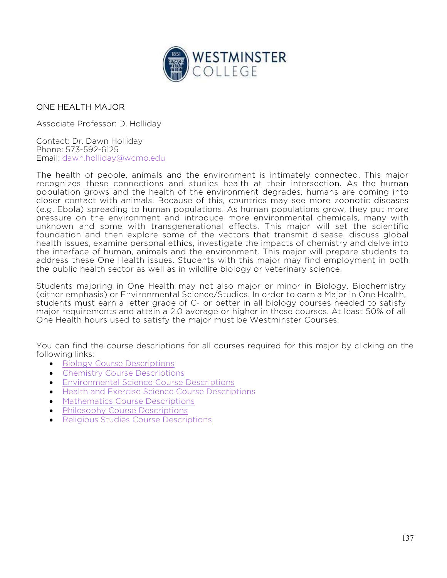

## ONE HEALTH MAJOR

Associate Professor: D. Holliday

Contact: Dr. Dawn Holliday Phone: 573-592-6125 Email: dawn.holliday@wcmo.edu

The health of people, animals and the environment is intimately connected. This major recognizes these connections and studies health at their intersection. As the human population grows and the health of the environment degrades, humans are coming into closer contact with animals. Because of this, countries may see more zoonotic diseases (e.g. Ebola) spreading to human populations. As human populations grow, they put more pressure on the environment and introduce more environmental chemicals, many with unknown and some with transgenerational effects. This major will set the scientific foundation and then explore some of the vectors that transmit disease, discuss global health issues, examine personal ethics, investigate the impacts of chemistry and delve into the interface of human, animals and the environment. This major will prepare students to address these One Health issues. Students with this major may find employment in both the public health sector as well as in wildlife biology or veterinary science.

Students majoring in One Health may not also major or minor in Biology, Biochemistry (either emphasis) or Environmental Science/Studies. In order to earn a Major in One Health, students must earn a letter grade of C- or better in all biology courses needed to satisfy major requirements and attain a 2.0 average or higher in these courses. At least 50% of all One Health hours used to satisfy the major must be Westminster Courses.

You can find the course descriptions for all courses required for this major by clicking on the following links:

- **•** Biology Course Descriptions
- Chemistry Course Descriptions
- Environmental Science Course Descriptions
- **Health and Exercise Science Course Descriptions**
- Mathematics Course Descriptions
- Philosophy Course Descriptions
- Religious Studies Course Descriptions